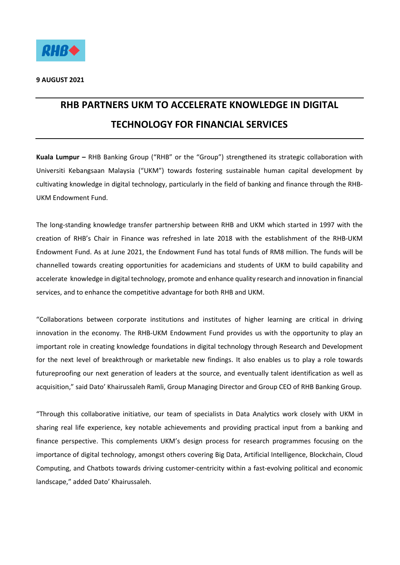

## **RHB PARTNERS UKM TO ACCELERATE KNOWLEDGE IN DIGITAL TECHNOLOGY FOR FINANCIAL SERVICES**

**Kuala Lumpur –** RHB Banking Group ("RHB" or the "Group") strengthened its strategic collaboration with Universiti Kebangsaan Malaysia ("UKM") towards fostering sustainable human capital development by cultivating knowledge in digital technology, particularly in the field of banking and finance through the RHB-UKM Endowment Fund.

The long-standing knowledge transfer partnership between RHB and UKM which started in 1997 with the creation of RHB's Chair in Finance was refreshed in late 2018 with the establishment of the RHB-UKM Endowment Fund. As at June 2021, the Endowment Fund has total funds of RM8 million. The funds will be channelled towards creating opportunities for academicians and students of UKM to build capability and accelerate knowledge in digital technology, promote and enhance quality research and innovation in financial services, and to enhance the competitive advantage for both RHB and UKM.

"Collaborations between corporate institutions and institutes of higher learning are critical in driving innovation in the economy. The RHB-UKM Endowment Fund provides us with the opportunity to play an important role in creating knowledge foundations in digital technology through Research and Development for the next level of breakthrough or marketable new findings. It also enables us to play a role towards futureproofing our next generation of leaders at the source, and eventually talent identification as well as acquisition," said Dato' Khairussaleh Ramli, Group Managing Director and Group CEO of RHB Banking Group.

"Through this collaborative initiative, our team of specialists in Data Analytics work closely with UKM in sharing real life experience, key notable achievements and providing practical input from a banking and finance perspective. This complements UKM's design process for research programmes focusing on the importance of digital technology, amongst others covering Big Data, Artificial Intelligence, Blockchain, Cloud Computing, and Chatbots towards driving customer-centricity within a fast-evolving political and economic landscape," added Dato' Khairussaleh.